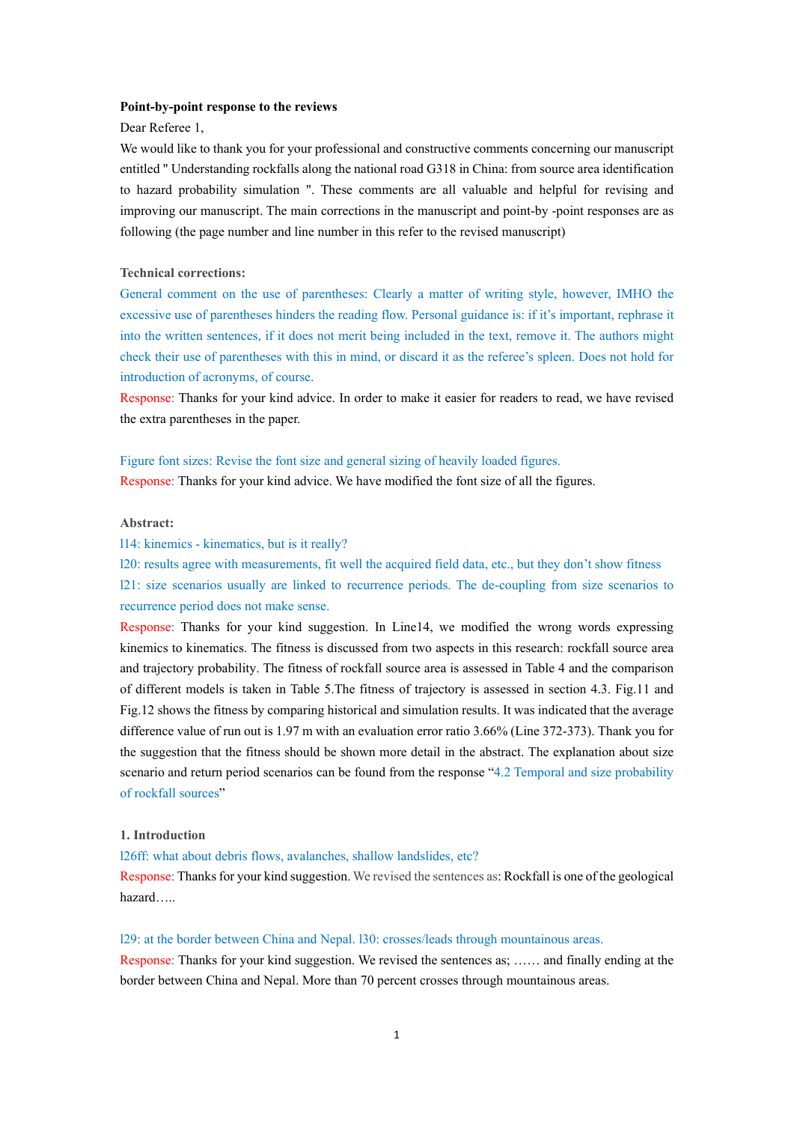#### **Point-by-point response to the reviews**

### Dear Referee 1,

We would like to thank you for your professional and constructive comments concerning our manuscript entitled " Understanding rockfalls along the national road G318 in China: from source area identification to hazard probability simulation ". These comments are all valuable and helpful for revising and improving our manuscript. The main corrections in the manuscript and point-by -point responses are as following (the page number and line number in this refer to the revised manuscript)

### **Technical corrections:**

General comment on the use of parentheses: Clearly a matter of writing style, however, IMHO the excessive use of parentheses hinders the reading flow. Personal guidance is: if it's important, rephrase it into the written sentences, if it does not merit being included in the text, remove it. The authors might check their use of parentheses with this in mind, or discard it as the referee's spleen. Does not hold for introduction of acronyms, of course.

Response: Thanks for your kind advice. In order to make it easier for readers to read, we have revised the extra parentheses in the paper.

### Figure font sizes: Revise the font size and general sizing of heavily loaded figures.

Response: Thanks for your kind advice. We have modified the font size of all the figures.

# **Abstract:**

#### l14: kinemics - kinematics, but is it really?

l20: results agree with measurements, fit well the acquired field data, etc., but they don't show fitness

l21: size scenarios usually are linked to recurrence periods. The de-coupling from size scenarios to recurrence period does not make sense.

Response: Thanks for your kind suggestion. In Line14, we modified the wrong words expressing kinemics to kinematics. The fitness is discussed from two aspects in this research: rockfall source area and trajectory probability. The fitness of rockfall source area is assessed in Table 4 and the comparison of different models is taken in Table 5.The fitness of trajectory is assessed in section 4.3. Fig.11 and Fig.12 shows the fitness by comparing historical and simulation results. It was indicated that the average difference value of run out is 1.97 m with an evaluation error ratio 3.66% (Line 372-373). Thank you for the suggestion that the fitness should be shown more detail in the abstract. The explanation about size scenario and return period scenarios can be found from the response "4.2 Temporal and size probability of rockfall sources"

#### **1. Introduction**

l26ff: what about debris flows, avalanches, shallow landslides, etc?

Response: Thanks for your kind suggestion. We revised the sentences as: Rockfall is one of the geological hazard…..

#### l29: at the border between China and Nepal. l30: crosses/leads through mountainous areas.

Response: Thanks for your kind suggestion. We revised the sentences as; …… and finally ending at the border between China and Nepal. More than 70 percent crosses through mountainous areas.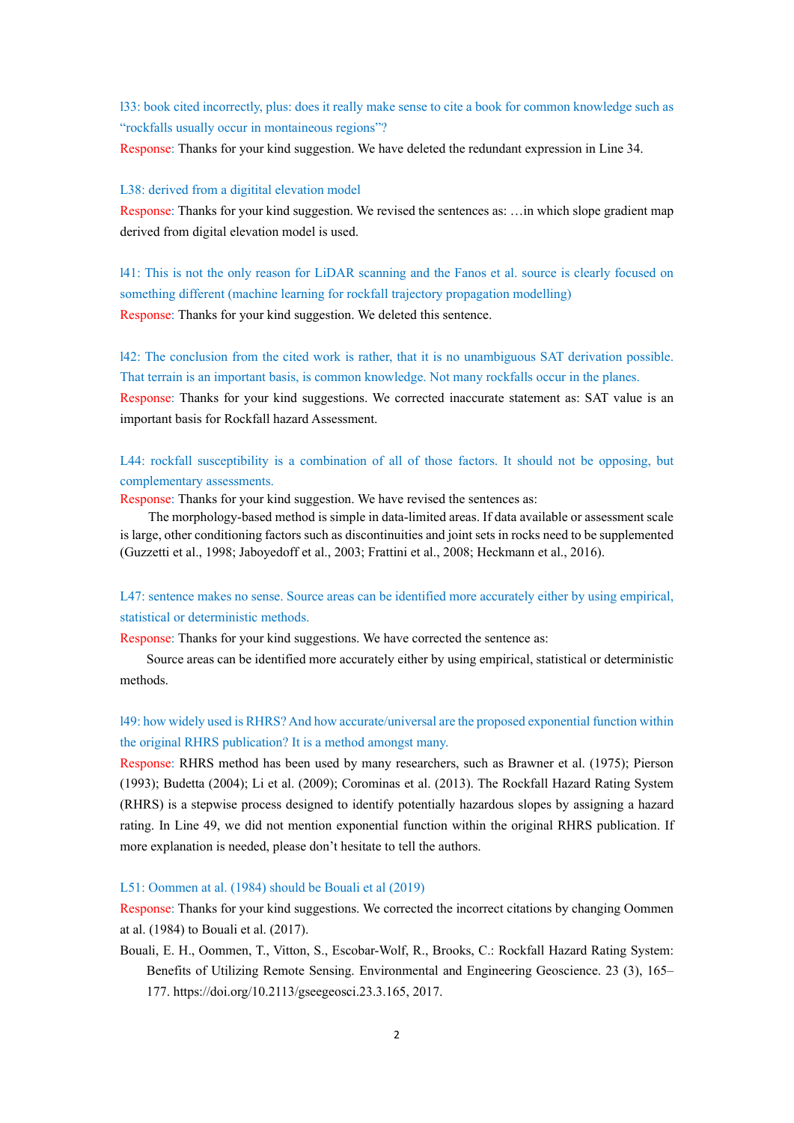l33: book cited incorrectly, plus: does it really make sense to cite a book for common knowledge such as "rockfalls usually occur in montaineous regions"?

Response: Thanks for your kind suggestion. We have deleted the redundant expression in Line 34.

#### L38: derived from a digitital elevation model

Response: Thanks for your kind suggestion. We revised the sentences as: …in which slope gradient map derived from digital elevation model is used.

l41: This is not the only reason for LiDAR scanning and the Fanos et al. source is clearly focused on something different (machine learning for rockfall trajectory propagation modelling) Response: Thanks for your kind suggestion. We deleted this sentence.

l42: The conclusion from the cited work is rather, that it is no unambiguous SAT derivation possible. That terrain is an important basis, is common knowledge. Not many rockfalls occur in the planes. Response: Thanks for your kind suggestions. We corrected inaccurate statement as: SAT value is an important basis for Rockfall hazard Assessment.

L44: rockfall susceptibility is a combination of all of those factors. It should not be opposing, but complementary assessments.

Response: Thanks for your kind suggestion. We have revised the sentences as:

The morphology-based method is simple in data-limited areas. If data available or assessment scale is large, other conditioning factors such as discontinuities and joint sets in rocks need to be supplemented (Guzzetti et al., 1998; Jaboyedoff et al., 2003; Frattini et al., 2008; Heckmann et al., 2016).

# L47: sentence makes no sense. Source areas can be identified more accurately either by using empirical, statistical or deterministic methods.

Response: Thanks for your kind suggestions. We have corrected the sentence as:

Source areas can be identified more accurately either by using empirical, statistical or deterministic methods.

# l49: how widely used is RHRS? And how accurate/universal are the proposed exponential function within the original RHRS publication? It is a method amongst many.

Response: RHRS method has been used by many researchers, such as Brawner et al. (1975); Pierson (1993); Budetta (2004); Li et al. (2009); Corominas et al. (2013). The Rockfall Hazard Rating System (RHRS) is a stepwise process designed to identify potentially hazardous slopes by assigning a hazard rating. In Line 49, we did not mention exponential function within the original RHRS publication. If more explanation is needed, please don't hesitate to tell the authors.

L51: Oommen at al. (1984) should be Bouali et al (2019)

Response: Thanks for your kind suggestions. We corrected the incorrect citations by changing Oommen at al. (1984) to Bouali et al. (2017).

Bouali, E. H., Oommen, T., Vitton, S., Escobar-Wolf, R., Brooks, C.: Rockfall Hazard Rating System: Benefits of Utilizing Remote Sensing. Environmental and Engineering Geoscience. 23 (3), 165– 177. https://doi.org/10.2113/gseegeosci.23.3.165, 2017.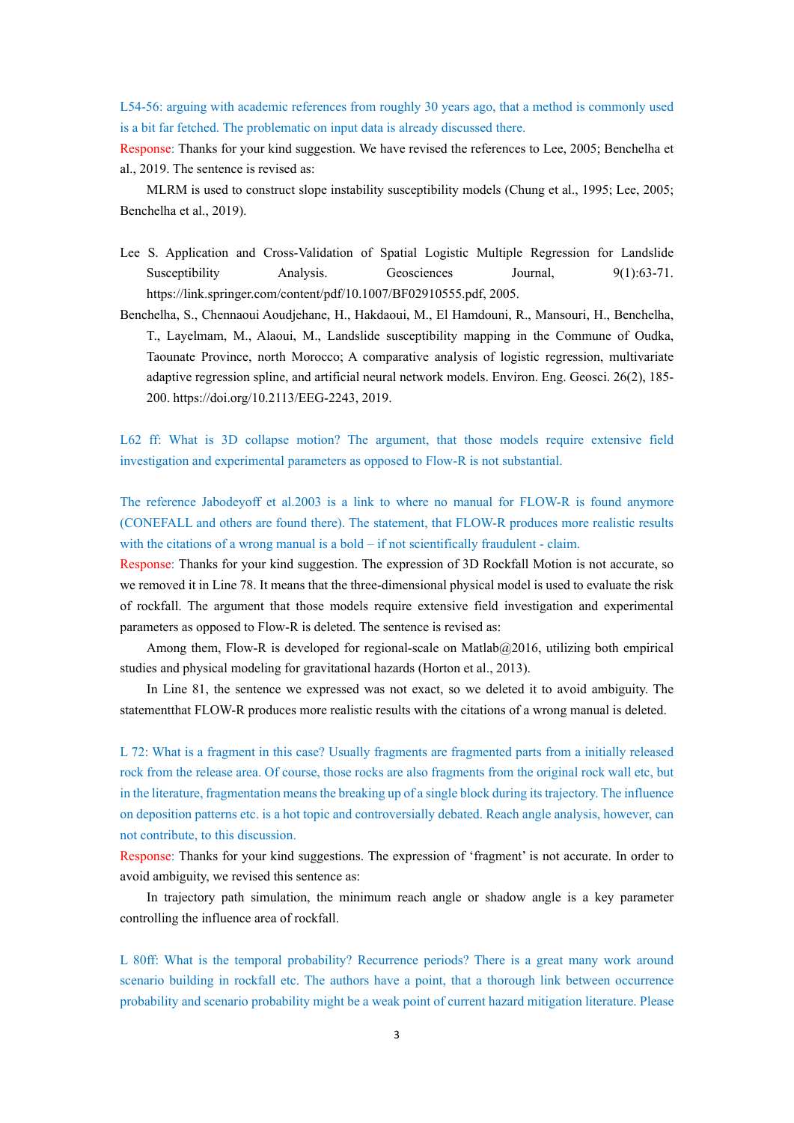L54-56: arguing with academic references from roughly 30 years ago, that a method is commonly used is a bit far fetched. The problematic on input data is already discussed there.

Response: Thanks for your kind suggestion. We have revised the references to Lee, 2005; Benchelha et al., 2019. The sentence is revised as:

MLRM is used to construct slope instability susceptibility models (Chung et al., 1995; Lee, 2005; Benchelha et al., 2019).

- Lee S. Application and Cross-Validation of Spatial Logistic Multiple Regression for Landslide Susceptibility Analysis. Geosciences Journal, 9(1):63-71. https://link.springer.com/content/pdf/10.1007/BF02910555.pdf, 2005.
- Benchelha, S., Chennaoui Aoudjehane, H., Hakdaoui, M., El Hamdouni, R., Mansouri, H., Benchelha, T., Layelmam, M., Alaoui, M., Landslide susceptibility mapping in the Commune of Oudka, Taounate Province, north Morocco; A comparative analysis of logistic regression, multivariate adaptive regression spline, and artificial neural network models. Environ. Eng. Geosci. 26(2), 185- 200. https://doi.org/10.2113/EEG-2243, 2019.

L62 ff: What is 3D collapse motion? The argument, that those models require extensive field investigation and experimental parameters as opposed to Flow-R is not substantial.

The reference Jabodeyoff et al.2003 is a link to where no manual for FLOW-R is found anymore (CONEFALL and others are found there). The statement, that FLOW-R produces more realistic results with the citations of a wrong manual is a bold – if not scientifically fraudulent - claim.

Response: Thanks for your kind suggestion. The expression of 3D Rockfall Motion is not accurate, so we removed it in Line 78. It means that the three-dimensional physical model is used to evaluate the risk of rockfall. The argument that those models require extensive field investigation and experimental parameters as opposed to Flow-R is deleted. The sentence is revised as:

Among them, Flow-R is developed for regional-scale on Matlab $@2016$ , utilizing both empirical studies and physical modeling for gravitational hazards (Horton et al., 2013).

In Line 81, the sentence we expressed was not exact, so we deleted it to avoid ambiguity. The statementthat FLOW-R produces more realistic results with the citations of a wrong manual is deleted.

L 72: What is a fragment in this case? Usually fragments are fragmented parts from a initially released rock from the release area. Of course, those rocks are also fragments from the original rock wall etc, but in the literature, fragmentation means the breaking up of a single block during its trajectory. The influence on deposition patterns etc. is a hot topic and controversially debated. Reach angle analysis, however, can not contribute, to this discussion.

Response: Thanks for your kind suggestions. The expression of 'fragment' is not accurate. In order to avoid ambiguity, we revised this sentence as:

In trajectory path simulation, the minimum reach angle or shadow angle is a key parameter controlling the influence area of rockfall.

L 80ff: What is the temporal probability? Recurrence periods? There is a great many work around scenario building in rockfall etc. The authors have a point, that a thorough link between occurrence probability and scenario probability might be a weak point of current hazard mitigation literature. Please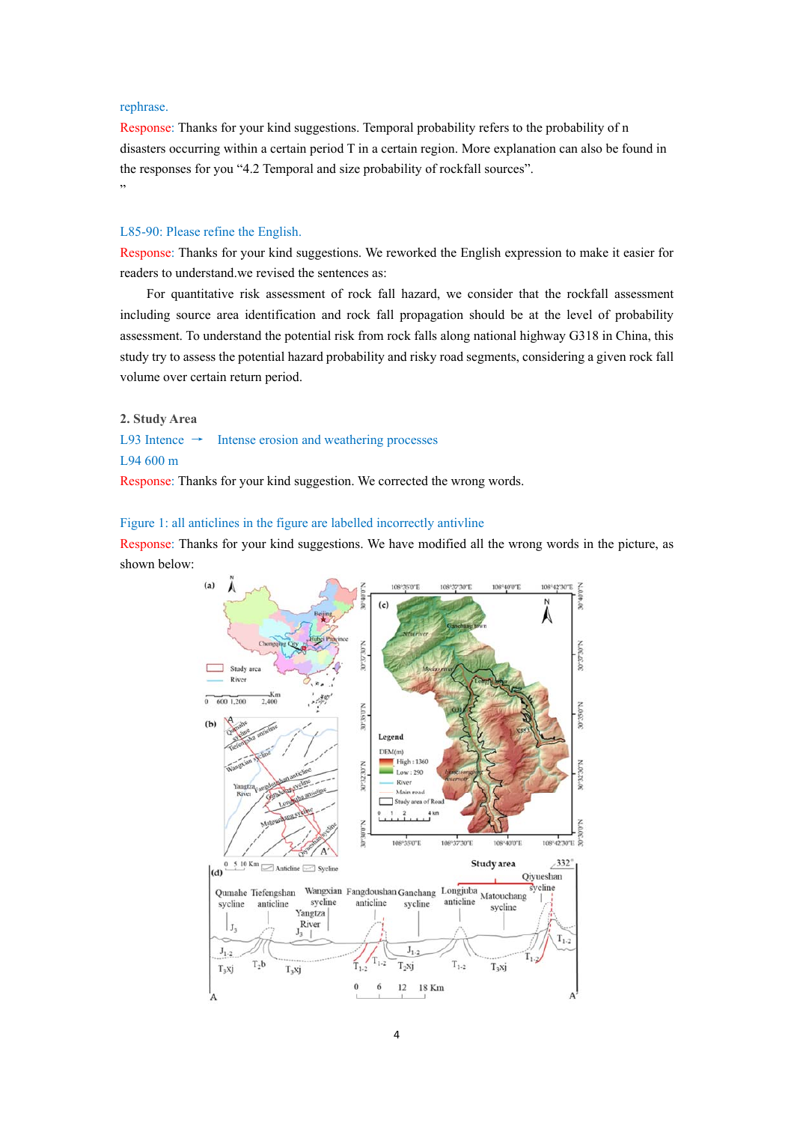## rephrase.

Response: Thanks for your kind suggestions. Temporal probability refers to the probability of n disasters occurring within a certain period T in a certain region. More explanation can also be found in the responses for you "4.2 Temporal and size probability of rockfall sources". "

### L85-90: Please refine the English.

Response: Thanks for your kind suggestions. We reworked the English expression to make it easier for readers to understand.we revised the sentences as:

For quantitative risk assessment of rock fall hazard, we consider that the rockfall assessment including source area identification and rock fall propagation should be at the level of probability assessment. To understand the potential risk from rock falls along national highway G318 in China, this study try to assess the potential hazard probability and risky road segments, considering a given rock fall volume over certain return period.

**2. Study Area** 

L93 Intence  $\rightarrow$  Intense erosion and weathering processes

# L94 600 m

Response: Thanks for your kind suggestion. We corrected the wrong words.

Figure 1: all anticlines in the figure are labelled incorrectly antivline

Response: Thanks for your kind suggestions. We have modified all the wrong words in the picture, as shown below:

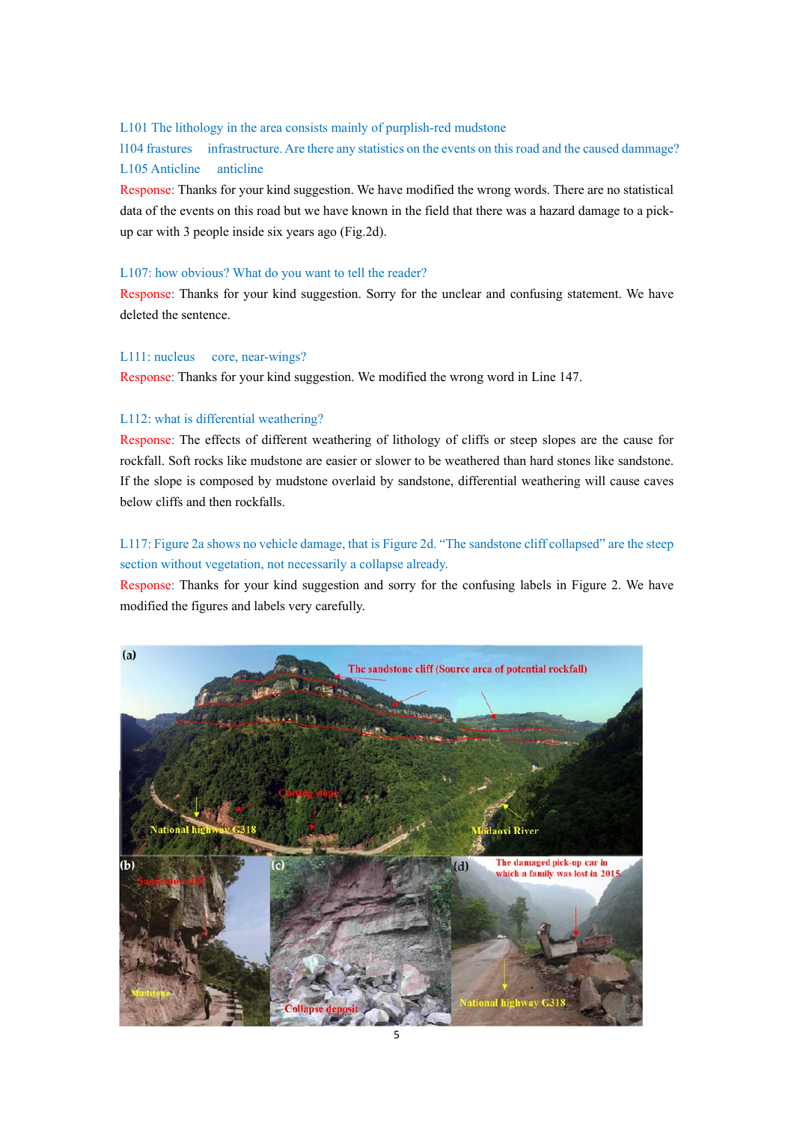# L101 The lithology in the area consists mainly of purplish-red mudstone

l104 frastures infrastructure. Are there any statistics on the events on this road and the caused dammage? L105 Anticline anticline

Response: Thanks for your kind suggestion. We have modified the wrong words. There are no statistical data of the events on this road but we have known in the field that there was a hazard damage to a pickup car with 3 people inside six years ago (Fig.2d).

### L107: how obvious? What do you want to tell the reader?

Response: Thanks for your kind suggestion. Sorry for the unclear and confusing statement. We have deleted the sentence.

# L111: nucleus core, near-wings?

Response: Thanks for your kind suggestion. We modified the wrong word in Line 147.

## L112: what is differential weathering?

Response: The effects of different weathering of lithology of cliffs or steep slopes are the cause for rockfall. Soft rocks like mudstone are easier or slower to be weathered than hard stones like sandstone. If the slope is composed by mudstone overlaid by sandstone, differential weathering will cause caves below cliffs and then rockfalls.

# L117: Figure 2a shows no vehicle damage, that is Figure 2d. "The sandstone cliff collapsed" are the steep section without vegetation, not necessarily a collapse already.

Response: Thanks for your kind suggestion and sorry for the confusing labels in Figure 2. We have modified the figures and labels very carefully.

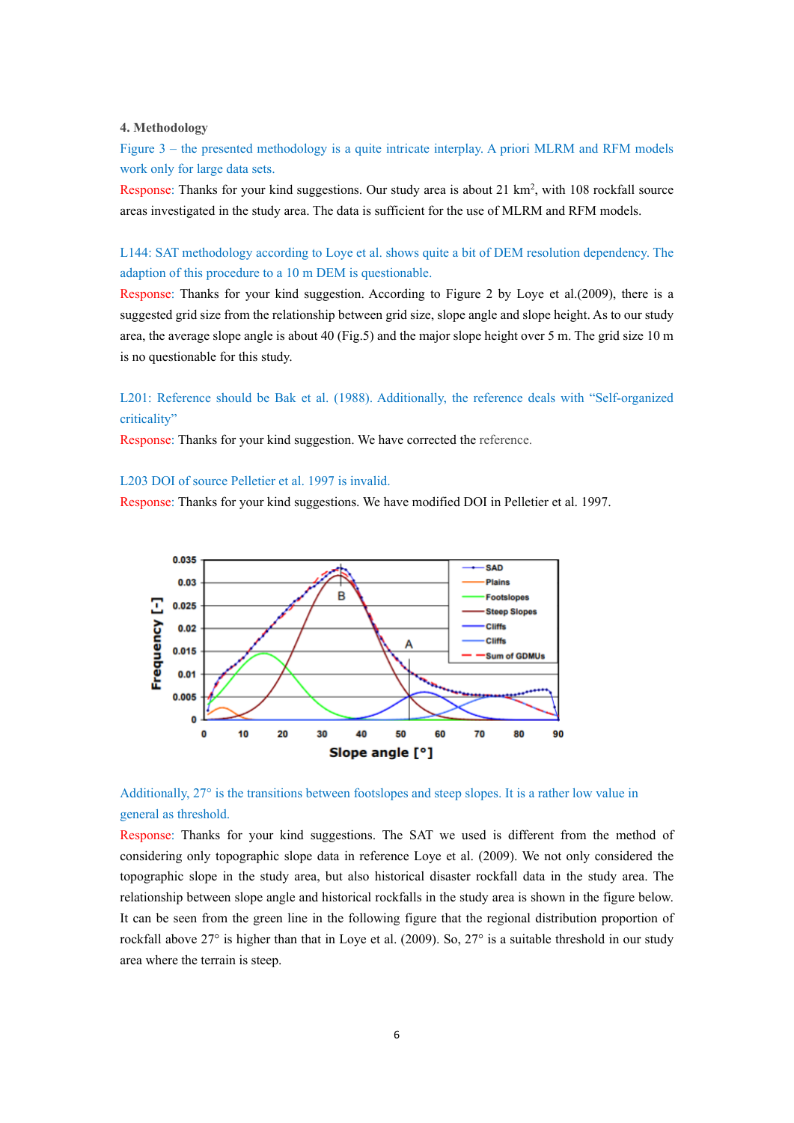# **4. Methodology**

Figure 3 – the presented methodology is a quite intricate interplay. A priori MLRM and RFM models work only for large data sets.

Response: Thanks for your kind suggestions. Our study area is about 21 km<sup>2</sup>, with 108 rockfall source areas investigated in the study area. The data is sufficient for the use of MLRM and RFM models.

L144: SAT methodology according to Loye et al. shows quite a bit of DEM resolution dependency. The adaption of this procedure to a 10 m DEM is questionable.

Response: Thanks for your kind suggestion. According to Figure 2 by Loye et al.(2009), there is a suggested grid size from the relationship between grid size, slope angle and slope height. As to our study area, the average slope angle is about 40 (Fig.5) and the major slope height over 5 m. The grid size 10 m is no questionable for this study.

# L201: Reference should be Bak et al. (1988). Additionally, the reference deals with "Self-organized criticality"

Response: Thanks for your kind suggestion. We have corrected the reference.

### L203 DOI of source Pelletier et al. 1997 is invalid.

Response: Thanks for your kind suggestions. We have modified DOI in Pelletier et al. 1997.





Response: Thanks for your kind suggestions. The SAT we used is different from the method of considering only topographic slope data in reference Loye et al. (2009). We not only considered the topographic slope in the study area, but also historical disaster rockfall data in the study area. The relationship between slope angle and historical rockfalls in the study area is shown in the figure below. It can be seen from the green line in the following figure that the regional distribution proportion of rockfall above 27° is higher than that in Loye et al. (2009). So, 27° is a suitable threshold in our study area where the terrain is steep.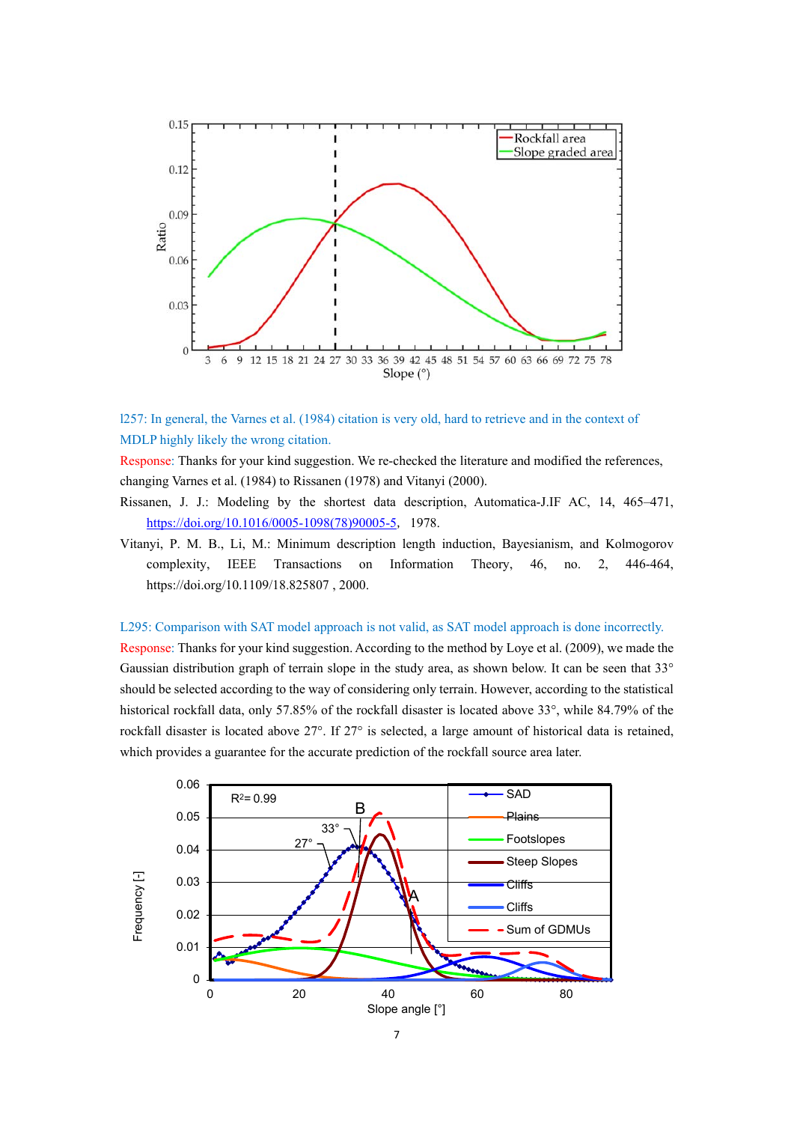

# l257: In general, the Varnes et al. (1984) citation is very old, hard to retrieve and in the context of MDLP highly likely the wrong citation.

Response: Thanks for your kind suggestion. We re-checked the literature and modified the references, changing Varnes et al. (1984) to Rissanen (1978) and Vitanyi (2000).

- Rissanen, J. J.: Modeling by the shortest data description, Automatica-J.IF AC, 14, 465–471, https://doi.org/10.1016/0005-1098(78)90005-5, 1978.
- Vitanyi, P. M. B., Li, M.: Minimum description length induction, Bayesianism, and Kolmogorov complexity, IEEE Transactions on Information Theory, 46, no. 2, 446-464, https://doi.org/10.1109/18.825807 , 2000.

## L295: Comparison with SAT model approach is not valid, as SAT model approach is done incorrectly.

Response: Thanks for your kind suggestion. According to the method by Loye et al. (2009), we made the Gaussian distribution graph of terrain slope in the study area, as shown below. It can be seen that 33° should be selected according to the way of considering only terrain. However, according to the statistical historical rockfall data, only 57.85% of the rockfall disaster is located above 33°, while 84.79% of the rockfall disaster is located above 27°. If 27° is selected, a large amount of historical data is retained, which provides a guarantee for the accurate prediction of the rockfall source area later.